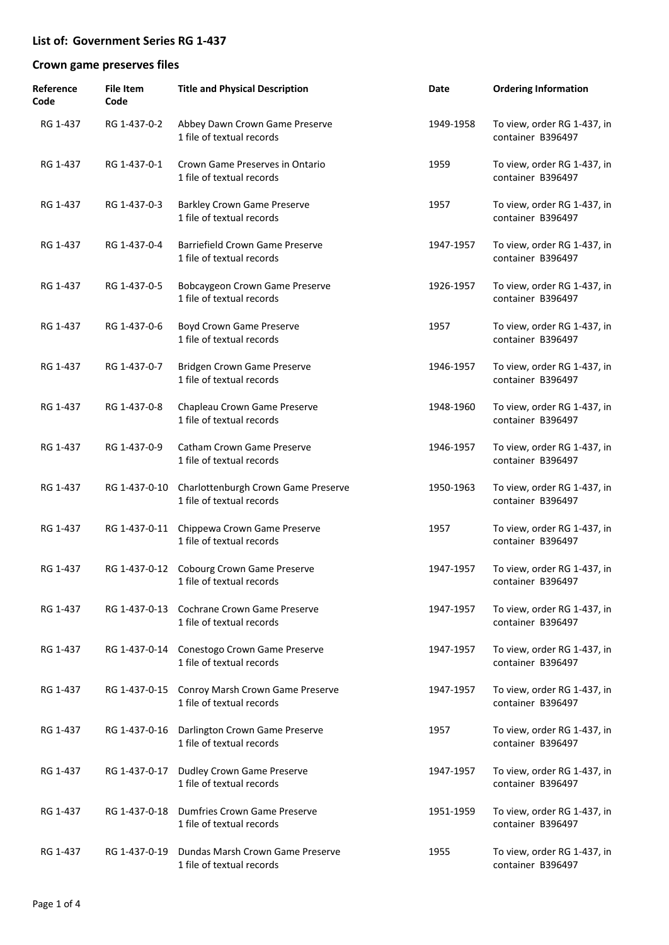| Reference<br>Code | <b>File Item</b><br>Code | <b>Title and Physical Description</b>                            | Date      | <b>Ordering Information</b>                      |
|-------------------|--------------------------|------------------------------------------------------------------|-----------|--------------------------------------------------|
| RG 1-437          | RG 1-437-0-2             | Abbey Dawn Crown Game Preserve<br>1 file of textual records      | 1949-1958 | To view, order RG 1-437, in<br>container B396497 |
| RG 1-437          | RG 1-437-0-1             | Crown Game Preserves in Ontario<br>1 file of textual records     | 1959      | To view, order RG 1-437, in<br>container B396497 |
| RG 1-437          | RG 1-437-0-3             | <b>Barkley Crown Game Preserve</b><br>1 file of textual records  | 1957      | To view, order RG 1-437, in<br>container B396497 |
| RG 1-437          | RG 1-437-0-4             | Barriefield Crown Game Preserve<br>1 file of textual records     | 1947-1957 | To view, order RG 1-437, in<br>container B396497 |
| RG 1-437          | RG 1-437-0-5             | Bobcaygeon Crown Game Preserve<br>1 file of textual records      | 1926-1957 | To view, order RG 1-437, in<br>container B396497 |
| RG 1-437          | RG 1-437-0-6             | Boyd Crown Game Preserve<br>1 file of textual records            | 1957      | To view, order RG 1-437, in<br>container B396497 |
| RG 1-437          | RG 1-437-0-7             | Bridgen Crown Game Preserve<br>1 file of textual records         | 1946-1957 | To view, order RG 1-437, in<br>container B396497 |
| RG 1-437          | RG 1-437-0-8             | Chapleau Crown Game Preserve<br>1 file of textual records        | 1948-1960 | To view, order RG 1-437, in<br>container B396497 |
| RG 1-437          | RG 1-437-0-9             | <b>Catham Crown Game Preserve</b><br>1 file of textual records   | 1946-1957 | To view, order RG 1-437, in<br>container B396497 |
| RG 1-437          | RG 1-437-0-10            | Charlottenburgh Crown Game Preserve<br>1 file of textual records | 1950-1963 | To view, order RG 1-437, in<br>container B396497 |
| RG 1-437          | RG 1-437-0-11            | Chippewa Crown Game Preserve<br>1 file of textual records        | 1957      | To view, order RG 1-437, in<br>container B396497 |
| RG 1-437          | RG 1-437-0-12            | Cobourg Crown Game Preserve<br>1 file of textual records         | 1947-1957 | To view, order RG 1-437, in<br>container B396497 |
| RG 1-437          | RG 1-437-0-13            | Cochrane Crown Game Preserve<br>1 file of textual records        | 1947-1957 | To view, order RG 1-437, in<br>container B396497 |
| RG 1-437          | RG 1-437-0-14            | Conestogo Crown Game Preserve<br>1 file of textual records       | 1947-1957 | To view, order RG 1-437, in<br>container B396497 |
| RG 1-437          | RG 1-437-0-15            | Conroy Marsh Crown Game Preserve<br>1 file of textual records    | 1947-1957 | To view, order RG 1-437, in<br>container B396497 |
| RG 1-437          | RG 1-437-0-16            | Darlington Crown Game Preserve<br>1 file of textual records      | 1957      | To view, order RG 1-437, in<br>container B396497 |
| RG 1-437          | RG 1-437-0-17            | <b>Dudley Crown Game Preserve</b><br>1 file of textual records   | 1947-1957 | To view, order RG 1-437, in<br>container B396497 |
| RG 1-437          | RG 1-437-0-18            | Dumfries Crown Game Preserve<br>1 file of textual records        | 1951-1959 | To view, order RG 1-437, in<br>container B396497 |
| RG 1-437          | RG 1-437-0-19            | Dundas Marsh Crown Game Preserve<br>1 file of textual records    | 1955      | To view, order RG 1-437, in<br>container B396497 |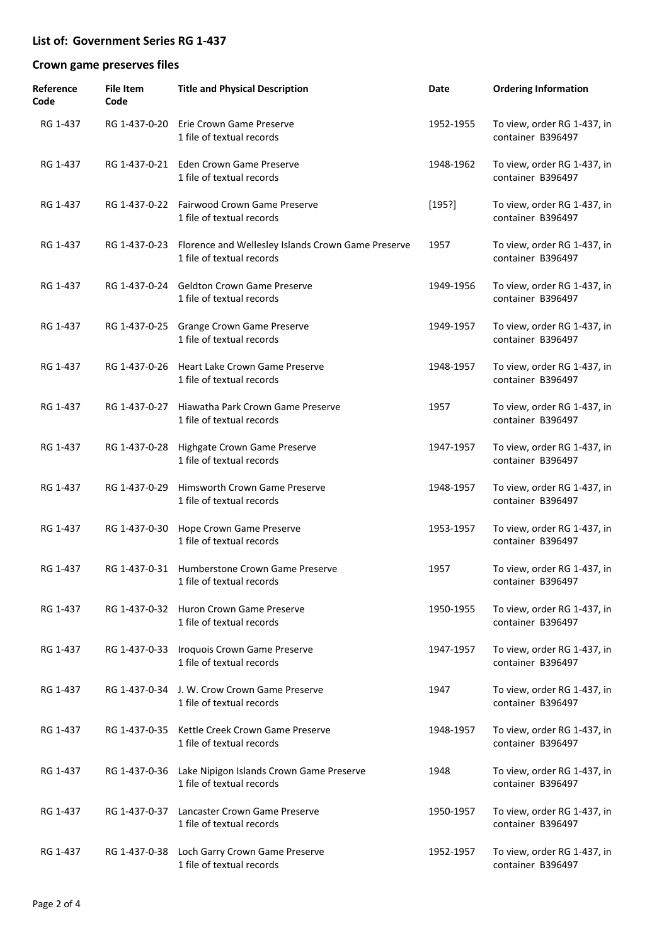| Reference<br>Code | <b>File Item</b><br>Code | <b>Title and Physical Description</b>                                           | Date      | <b>Ordering Information</b>                      |
|-------------------|--------------------------|---------------------------------------------------------------------------------|-----------|--------------------------------------------------|
| RG 1-437          | RG 1-437-0-20            | Erie Crown Game Preserve<br>1 file of textual records                           | 1952-1955 | To view, order RG 1-437, in<br>container B396497 |
| RG 1-437          |                          | RG 1-437-0-21 Eden Crown Game Preserve<br>1 file of textual records             | 1948-1962 | To view, order RG 1-437, in<br>container B396497 |
| RG 1-437          |                          | RG 1-437-0-22 Fairwood Crown Game Preserve<br>1 file of textual records         | [195?]    | To view, order RG 1-437, in<br>container B396497 |
| RG 1-437          | RG 1-437-0-23            | Florence and Wellesley Islands Crown Game Preserve<br>1 file of textual records | 1957      | To view, order RG 1-437, in<br>container B396497 |
| RG 1-437          | RG 1-437-0-24            | <b>Geldton Crown Game Preserve</b><br>1 file of textual records                 | 1949-1956 | To view, order RG 1-437, in<br>container B396497 |
| RG 1-437          | RG 1-437-0-25            | Grange Crown Game Preserve<br>1 file of textual records                         | 1949-1957 | To view, order RG 1-437, in<br>container B396497 |
| RG 1-437          | RG 1-437-0-26            | Heart Lake Crown Game Preserve<br>1 file of textual records                     | 1948-1957 | To view, order RG 1-437, in<br>container B396497 |
| RG 1-437          | RG 1-437-0-27            | Hiawatha Park Crown Game Preserve<br>1 file of textual records                  | 1957      | To view, order RG 1-437, in<br>container B396497 |
| RG 1-437          | RG 1-437-0-28            | Highgate Crown Game Preserve<br>1 file of textual records                       | 1947-1957 | To view, order RG 1-437, in<br>container B396497 |
| RG 1-437          | RG 1-437-0-29            | Himsworth Crown Game Preserve<br>1 file of textual records                      | 1948-1957 | To view, order RG 1-437, in<br>container B396497 |
| RG 1-437          | RG 1-437-0-30            | Hope Crown Game Preserve<br>1 file of textual records                           | 1953-1957 | To view, order RG 1-437, in<br>container B396497 |
| RG 1-437          |                          | RG 1-437-0-31 Humberstone Crown Game Preserve<br>1 file of textual records      | 1957      | To view, order RG 1-437, in<br>container B396497 |
| RG 1-437          |                          | RG 1-437-0-32 Huron Crown Game Preserve<br>1 file of textual records            | 1950-1955 | To view, order RG 1-437, in<br>container B396497 |
| RG 1-437          | RG 1-437-0-33            | Iroquois Crown Game Preserve<br>1 file of textual records                       | 1947-1957 | To view, order RG 1-437, in<br>container B396497 |
| RG 1-437          | RG 1-437-0-34            | J. W. Crow Crown Game Preserve<br>1 file of textual records                     | 1947      | To view, order RG 1-437, in<br>container B396497 |
| RG 1-437          | RG 1-437-0-35            | Kettle Creek Crown Game Preserve<br>1 file of textual records                   | 1948-1957 | To view, order RG 1-437, in<br>container B396497 |
| RG 1-437          | RG 1-437-0-36            | Lake Nipigon Islands Crown Game Preserve<br>1 file of textual records           | 1948      | To view, order RG 1-437, in<br>container B396497 |
| RG 1-437          | RG 1-437-0-37            | Lancaster Crown Game Preserve<br>1 file of textual records                      | 1950-1957 | To view, order RG 1-437, in<br>container B396497 |
| RG 1-437          | RG 1-437-0-38            | Loch Garry Crown Game Preserve<br>1 file of textual records                     | 1952-1957 | To view, order RG 1-437, in<br>container B396497 |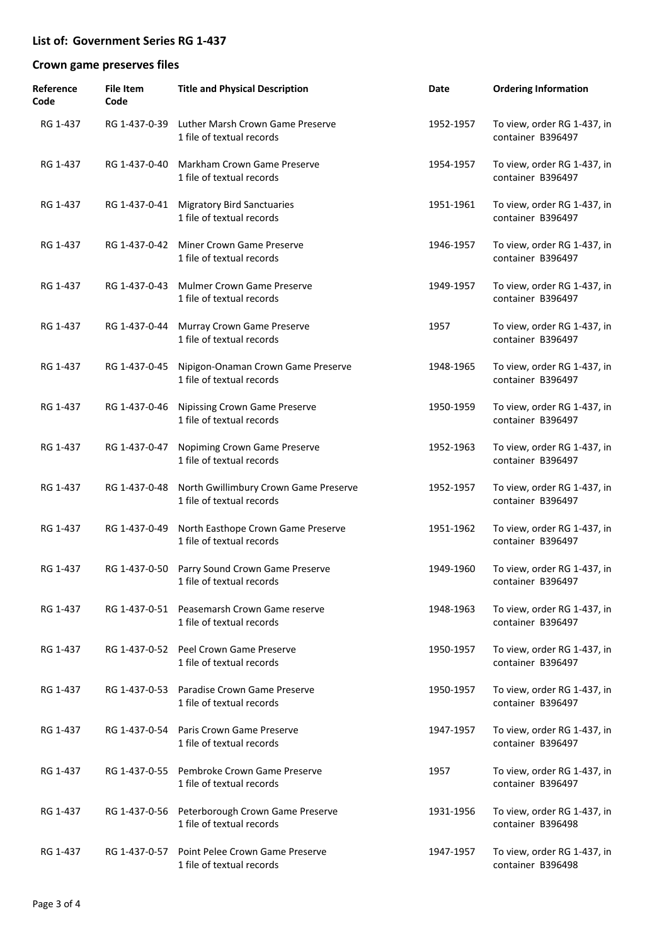| Reference<br>Code | <b>File Item</b><br>Code | <b>Title and Physical Description</b>                                    | Date      | <b>Ordering Information</b>                      |
|-------------------|--------------------------|--------------------------------------------------------------------------|-----------|--------------------------------------------------|
| RG 1-437          | RG 1-437-0-39            | Luther Marsh Crown Game Preserve<br>1 file of textual records            | 1952-1957 | To view, order RG 1-437, in<br>container B396497 |
| RG 1-437          | RG 1-437-0-40            | Markham Crown Game Preserve<br>1 file of textual records                 | 1954-1957 | To view, order RG 1-437, in<br>container B396497 |
| RG 1-437          | RG 1-437-0-41            | <b>Migratory Bird Sanctuaries</b><br>1 file of textual records           | 1951-1961 | To view, order RG 1-437, in<br>container B396497 |
| RG 1-437          | RG 1-437-0-42            | Miner Crown Game Preserve<br>1 file of textual records                   | 1946-1957 | To view, order RG 1-437, in<br>container B396497 |
| RG 1-437          | RG 1-437-0-43            | <b>Mulmer Crown Game Preserve</b><br>1 file of textual records           | 1949-1957 | To view, order RG 1-437, in<br>container B396497 |
| RG 1-437          | RG 1-437-0-44            | Murray Crown Game Preserve<br>1 file of textual records                  | 1957      | To view, order RG 1-437, in<br>container B396497 |
| RG 1-437          | RG 1-437-0-45            | Nipigon-Onaman Crown Game Preserve<br>1 file of textual records          | 1948-1965 | To view, order RG 1-437, in<br>container B396497 |
| RG 1-437          | RG 1-437-0-46            | <b>Nipissing Crown Game Preserve</b><br>1 file of textual records        | 1950-1959 | To view, order RG 1-437, in<br>container B396497 |
| RG 1-437          | RG 1-437-0-47            | Nopiming Crown Game Preserve<br>1 file of textual records                | 1952-1963 | To view, order RG 1-437, in<br>container B396497 |
| RG 1-437          | RG 1-437-0-48            | North Gwillimbury Crown Game Preserve<br>1 file of textual records       | 1952-1957 | To view, order RG 1-437, in<br>container B396497 |
| RG 1-437          | RG 1-437-0-49            | North Easthope Crown Game Preserve<br>1 file of textual records          | 1951-1962 | To view, order RG 1-437, in<br>container B396497 |
| RG 1-437          | RG 1-437-0-50            | Parry Sound Crown Game Preserve<br>1 file of textual records             | 1949-1960 | To view, order RG 1-437, in<br>container B396497 |
| RG 1-437          |                          | RG 1-437-0-51 Peasemarsh Crown Game reserve<br>1 file of textual records | 1948-1963 | To view, order RG 1-437, in<br>container B396497 |
| RG 1-437          |                          | RG 1-437-0-52 Peel Crown Game Preserve<br>1 file of textual records      | 1950-1957 | To view, order RG 1-437, in<br>container B396497 |
| RG 1-437          | RG 1-437-0-53            | Paradise Crown Game Preserve<br>1 file of textual records                | 1950-1957 | To view, order RG 1-437, in<br>container B396497 |
| RG 1-437          | RG 1-437-0-54            | Paris Crown Game Preserve<br>1 file of textual records                   | 1947-1957 | To view, order RG 1-437, in<br>container B396497 |
| RG 1-437          | RG 1-437-0-55            | Pembroke Crown Game Preserve<br>1 file of textual records                | 1957      | To view, order RG 1-437, in<br>container B396497 |
| RG 1-437          | RG 1-437-0-56            | Peterborough Crown Game Preserve<br>1 file of textual records            | 1931-1956 | To view, order RG 1-437, in<br>container B396498 |
| RG 1-437          | RG 1-437-0-57            | Point Pelee Crown Game Preserve<br>1 file of textual records             | 1947-1957 | To view, order RG 1-437, in<br>container B396498 |